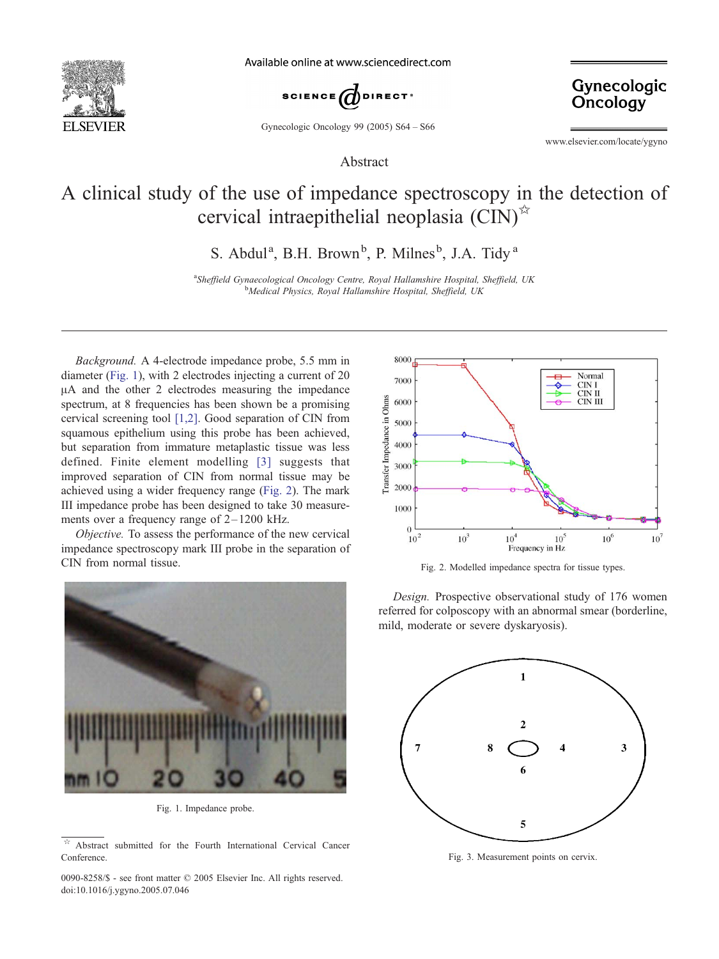<span id="page-0-0"></span>

Available online at www.sciencedirect.com



Gynecologic Oncology 99 (2005) S64 – S66

Abstract



www.elsevier.com/locate/ygyno

## A clinical study of the use of impedance spectroscopy in the detection of cervical intraepithelial neoplasia  $(CIN)^{\hat{\kappa}}$

S. Abdul<sup>a</sup>, B.H. Brown<sup>b</sup>, P. Milnes<sup>b</sup>, J.A. Tidy<sup>a</sup>

<sup>a</sup>Sheffield Gynaecological Oncology Centre, Royal Hallamshire Hospital, Sheffield, UK<br><sup>b</sup>Medical Physics, Royal Hallamshire Hospital, Sheffield, UK <sup>b</sup>Medical Physics, Royal Hallamshire Hospital, Sheffield, UK

Background. A 4-electrode impedance probe, 5.5 mm in diameter (Fig. 1), with 2 electrodes injecting a current of 20  $\mu$ A and the other 2 electrodes measuring the impedance spectrum, at 8 frequencies has been shown be a promising cervical screening tool [\[1,2\].](#page-2-0) Good separation of CIN from squamous epithelium using this probe has been achieved, but separation from immature metaplastic tissue was less defined. Finite element modelling [\[3\]](#page-2-0) suggests that improved separation of CIN from normal tissue may be achieved using a wider frequency range (Fig. 2). The mark III impedance probe has been designed to take 30 measurements over a frequency range of 2–1200 kHz.

Objective. To assess the performance of the new cervical impedance spectroscopy mark III probe in the separation of CIN from normal tissue.



Fig. 1. Impedance probe.



Fig. 2. Modelled impedance spectra for tissue types.

Design. Prospective observational study of 176 women referred for colposcopy with an abnormal smear (borderline, mild, moderate or severe dyskaryosis).



Fig. 3. Measurement points on cervix.

 $\overrightarrow{r}$  Abstract submitted for the Fourth International Cervical Cancer Conference.

<sup>0090-8258/\$ -</sup> see front matter © 2005 Elsevier Inc. All rights reserved. doi:10.1016/j.ygyno.2005.07.046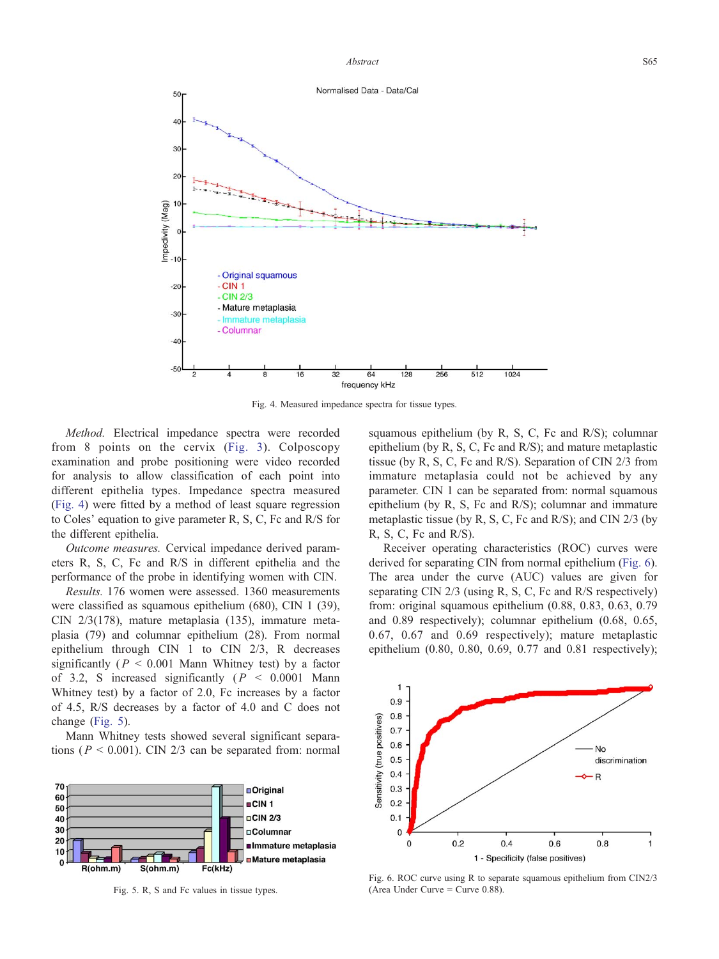

Fig. 4. Measured impedance spectra for tissue types.

Method. Electrical impedance spectra were recorded from 8 points on the cervix ([Fig. 3\)](#page-0-0). Colposcopy examination and probe positioning were video recorded for analysis to allow classification of each point into different epithelia types. Impedance spectra measured (Fig. 4) were fitted by a method of least square regression to Coles' equation to give parameter R, S, C, Fc and R/S for the different epithelia.

Outcome measures. Cervical impedance derived parameters R, S, C, Fc and R/S in different epithelia and the performance of the probe in identifying women with CIN.

Results. 176 women were assessed. 1360 measurements were classified as squamous epithelium (680), CIN 1 (39), CIN 2/3(178), mature metaplasia (135), immature metaplasia (79) and columnar epithelium (28). From normal epithelium through CIN 1 to CIN 2/3, R decreases significantly ( $P < 0.001$  Mann Whitney test) by a factor of 3.2, S increased significantly ( $P < 0.0001$  Mann Whitney test) by a factor of 2.0, Fc increases by a factor of 4.5, R/S decreases by a factor of 4.0 and C does not change (Fig. 5).

Mann Whitney tests showed several significant separations ( $P < 0.001$ ). CIN 2/3 can be separated from: normal



Fig. 5. R, S and Fc values in tissue types.

squamous epithelium (by R, S, C, Fc and R/S); columnar epithelium (by R, S, C, Fc and R/S); and mature metaplastic tissue (by R, S, C, Fc and R/S). Separation of CIN 2/3 from immature metaplasia could not be achieved by any parameter. CIN 1 can be separated from: normal squamous epithelium (by R, S, Fc and R/S); columnar and immature metaplastic tissue (by R, S, C, Fc and R/S); and CIN 2/3 (by R, S, C, Fc and R/S).

Receiver operating characteristics (ROC) curves were derived for separating CIN from normal epithelium (Fig. 6). The area under the curve (AUC) values are given for separating CIN 2/3 (using R, S, C, Fc and R/S respectively) from: original squamous epithelium (0.88, 0.83, 0.63, 0.79 and 0.89 respectively); columnar epithelium (0.68, 0.65, 0.67, 0.67 and 0.69 respectively); mature metaplastic epithelium (0.80, 0.80, 0.69, 0.77 and 0.81 respectively);



Fig. 6. ROC curve using R to separate squamous epithelium from CIN2/3 (Area Under Curve = Curve  $0.88$ ).